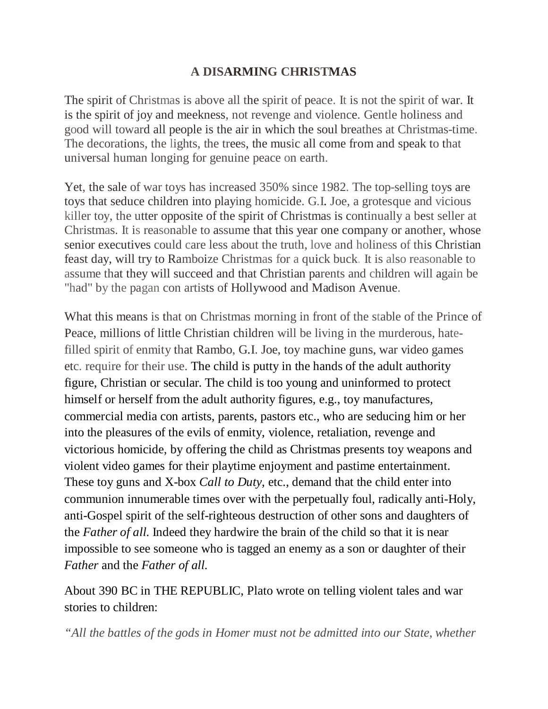## **A DISARMING CHRISTMAS**

The spirit of Christmas is above all the spirit of peace. It is not the spirit of war. It is the spirit of joy and meekness, not revenge and violence. Gentle holiness and good will toward all people is the air in which the soul breathes at Christmas-time. The decorations, the lights, the trees, the music all come from and speak to that universal human longing for genuine peace on earth.

Yet, the sale of war toys has increased 350% since 1982. The top-selling toys are toys that seduce children into playing homicide. G.I. Joe, a grotesque and vicious killer toy, the utter opposite of the spirit of Christmas is continually a best seller at Christmas. It is reasonable to assume that this year one company or another, whose senior executives could care less about the truth, love and holiness of this Christian feast day, will try to Ramboize Christmas for a quick buck. It is also reasonable to assume that they will succeed and that Christian parents and children will again be "had" by the pagan con artists of Hollywood and Madison Avenue.

What this means is that on Christmas morning in front of the stable of the Prince of Peace, millions of little Christian children will be living in the murderous, hatefilled spirit of enmity that Rambo, G.I. Joe, toy machine guns, war video games etc. require for their use. The child is putty in the hands of the adult authority figure, Christian or secular. The child is too young and uninformed to protect himself or herself from the adult authority figures, e.g., toy manufactures, commercial media con artists, parents, pastors etc., who are seducing him or her into the pleasures of the evils of enmity, violence, retaliation, revenge and victorious homicide, by offering the child as Christmas presents toy weapons and violent video games for their playtime enjoyment and pastime entertainment. These toy guns and X-box *Call to Duty*, etc., demand that the child enter into communion innumerable times over with the perpetually foul, radically anti-Holy, anti-Gospel spirit of the self-righteous destruction of other sons and daughters of the *Father of all.* Indeed they hardwire the brain of the child so that it is near impossible to see someone who is tagged an enemy as a son or daughter of their *Father* and the *Father of all.*

About 390 BC in THE REPUBLIC, Plato wrote on telling violent tales and war stories to children:

*"All the battles of the gods in Homer must not be admitted into our State, whether*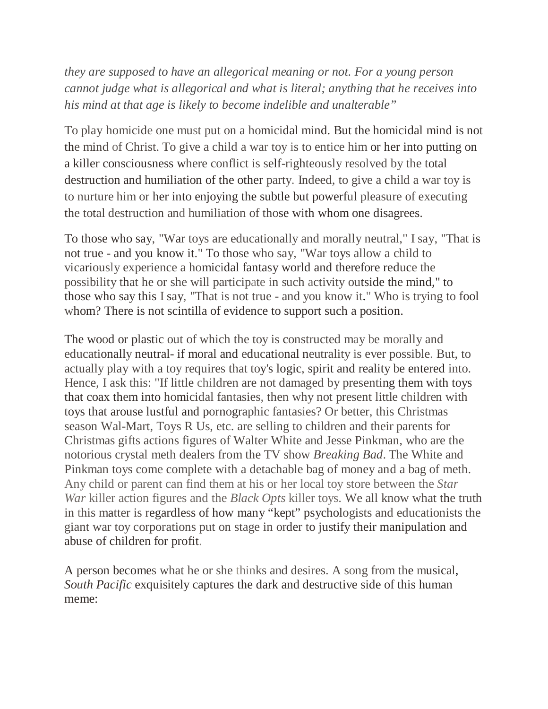*they are supposed to have an allegorical meaning or not. For a young person cannot judge what is allegorical and what is literal; anything that he receives into his mind at that age is likely to become indelible and unalterable"*

To play homicide one must put on a homicidal mind. But the homicidal mind is not the mind of Christ. To give a child a war toy is to entice him or her into putting on a killer consciousness where conflict is self-righteously resolved by the total destruction and humiliation of the other party. Indeed, to give a child a war toy is to nurture him or her into enjoying the subtle but powerful pleasure of executing the total destruction and humiliation of those with whom one disagrees.

To those who say, "War toys are educationally and morally neutral," I say, "That is not true - and you know it." To those who say, "War toys allow a child to vicariously experience a homicidal fantasy world and therefore reduce the possibility that he or she will participate in such activity outside the mind," to those who say this I say, "That is not true - and you know it." Who is trying to fool whom? There is not scintilla of evidence to support such a position.

The wood or plastic out of which the toy is constructed may be morally and educationally neutral- if moral and educational neutrality is ever possible. But, to actually play with a toy requires that toy's logic, spirit and reality be entered into. Hence, I ask this: "If little children are not damaged by presenting them with toys that coax them into homicidal fantasies, then why not present little children with toys that arouse lustful and pornographic fantasies? Or better, this Christmas season Wal-Mart, Toys R Us, etc. are selling to children and their parents for Christmas gifts actions figures of Walter White and Jesse Pinkman, who are the notorious crystal meth dealers from the TV show *Breaking Bad*. The White and Pinkman toys come complete with a detachable bag of money and a bag of meth. Any child or parent can find them at his or her local toy store between the *Star War* killer action figures and the *Black Opts* killer toys. We all know what the truth in this matter is regardless of how many "kept" psychologists and educationists the giant war toy corporations put on stage in order to justify their manipulation and abuse of children for profit.

A person becomes what he or she thinks and desires. A song from the musical, *South Pacific* exquisitely captures the dark and destructive side of this human meme: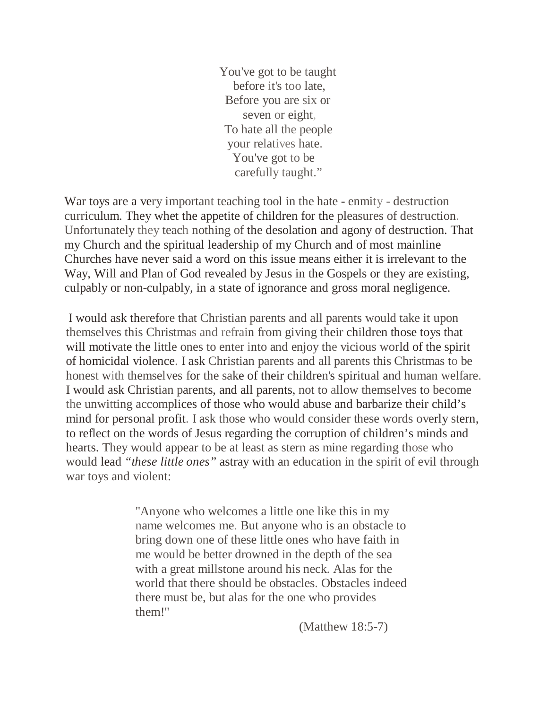You've got to be taught before it's too late, Before you are six or seven or eight, To hate all the people your relatives hate. You've got to be carefully taught."

War toys are a very important teaching tool in the hate - enmity - destruction curriculum. They whet the appetite of children for the pleasures of destruction. Unfortunately they teach nothing of the desolation and agony of destruction. That my Church and the spiritual leadership of my Church and of most mainline Churches have never said a word on this issue means either it is irrelevant to the Way, Will and Plan of God revealed by Jesus in the Gospels or they are existing, culpably or non-culpably, in a state of ignorance and gross moral negligence.

I would ask therefore that Christian parents and all parents would take it upon themselves this Christmas and refrain from giving their children those toys that will motivate the little ones to enter into and enjoy the vicious world of the spirit of homicidal violence. I ask Christian parents and all parents this Christmas to be honest with themselves for the sake of their children's spiritual and human welfare. I would ask Christian parents, and all parents, not to allow themselves to become the unwitting accomplices of those who would abuse and barbarize their child's mind for personal profit. I ask those who would consider these words overly stern, to reflect on the words of Jesus regarding the corruption of children's minds and hearts. They would appear to be at least as stern as mine regarding those who would lead *"these little ones"* astray with an education in the spirit of evil through war toys and violent:

> "Anyone who welcomes a little one like this in my name welcomes me. But anyone who is an obstacle to bring down one of these little ones who have faith in me would be better drowned in the depth of the sea with a great millstone around his neck. Alas for the world that there should be obstacles. Obstacles indeed there must be, but alas for the one who provides them!"

> > (Matthew 18:5-7)